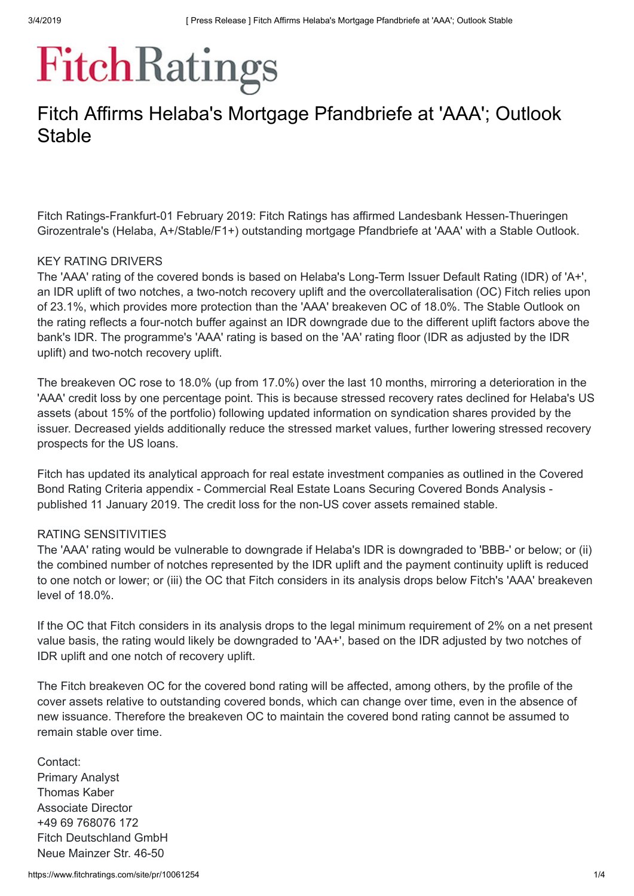# **FitchRatings**

# Fitch Affirms Helaba's Mortgage Pfandbriefe at 'AAA'; Outlook **Stable**

Fitch Ratings-Frankfurt-01 February 2019: Fitch Ratings has affirmed Landesbank Hessen-Thueringen Girozentrale's (Helaba, A+/Stable/F1+) outstanding mortgage Pfandbriefe at 'AAA' with a Stable Outlook.

## KEY RATING DRIVERS

The 'AAA' rating of the covered bonds is based on Helaba's Long-Term Issuer Default Rating (IDR) of 'A+', an IDR uplift of two notches, a two-notch recovery uplift and the overcollateralisation (OC) Fitch relies upon of 23.1%, which provides more protection than the 'AAA' breakeven OC of 18.0%. The Stable Outlook on the rating reflects a four-notch buffer against an IDR downgrade due to the different uplift factors above the bank's IDR. The programme's 'AAA' rating is based on the 'AA' rating floor (IDR as adjusted by the IDR uplift) and two-notch recovery uplift.

The breakeven OC rose to 18.0% (up from 17.0%) over the last 10 months, mirroring a deterioration in the 'AAA' credit loss by one percentage point. This is because stressed recovery rates declined for Helaba's US assets (about 15% of the portfolio) following updated information on syndication shares provided by the issuer. Decreased yields additionally reduce the stressed market values, further lowering stressed recovery prospects for the US loans.

Fitch has updated its analytical approach for real estate investment companies as outlined in the Covered Bond Rating Criteria appendix - Commercial Real Estate Loans Securing Covered Bonds Analysis published 11 January 2019. The credit loss for the non-US cover assets remained stable.

# RATING SENSITIVITIES

The 'AAA' rating would be vulnerable to downgrade if Helaba's IDR is downgraded to 'BBB-' or below; or (ii) the combined number of notches represented by the IDR uplift and the payment continuity uplift is reduced to one notch or lower; or (iii) the OC that Fitch considers in its analysis drops below Fitch's 'AAA' breakeven level of 18.0%.

If the OC that Fitch considers in its analysis drops to the legal minimum requirement of 2% on a net present value basis, the rating would likely be downgraded to 'AA+', based on the IDR adjusted by two notches of IDR uplift and one notch of recovery uplift.

The Fitch breakeven OC for the covered bond rating will be affected, among others, by the profile of the cover assets relative to outstanding covered bonds, which can change over time, even in the absence of new issuance. Therefore the breakeven OC to maintain the covered bond rating cannot be assumed to remain stable over time.

Contact: Primary Analyst Thomas Kaber Associate Director +49 69 768076 172 Fitch Deutschland GmbH Neue Mainzer Str. 46-50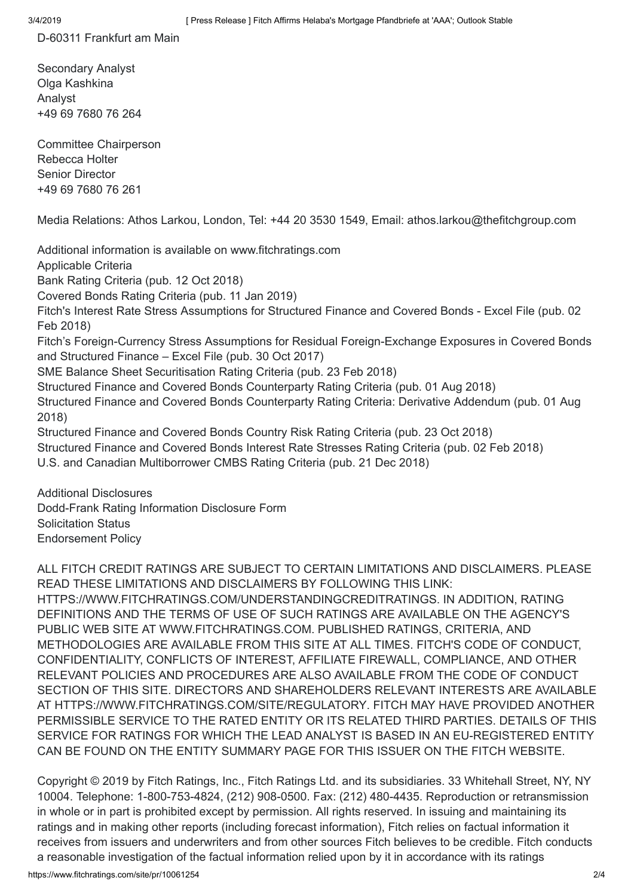D-60311 Frankfurt am Main

Secondary Analyst Olga Kashkina Analyst +49 69 7680 76 264

Committee Chairperson Rebecca Holter Senior Director +49 69 7680 76 261

Media Relations: Athos Larkou, London, Tel: +44 20 3530 1549, Email: [athos.larkou@thefitchgroup.com](mailto:athos.larkou@thefitchgroup.com)

Additional information is available on [www.fitchratings.com](https://www.fitchratings.com/) Applicable Criteria Bank Rating [Criteria](https://www.fitchratings.com/site/re/10044408) (pub. 12 Oct 2018) [Covered](https://www.fitchratings.com/site/re/10059083) Bonds Rating Criteria (pub. 11 Jan 2019) Fitch's Interest Rate Stress [Assumptions](https://www.fitchratings.com/site/re/10018863) for Structured Finance and Covered Bonds - Excel File (pub. 02 Feb 2018) Fitch's Foreign-Currency Stress Assumptions for Residual [Foreign-Exchange](https://www.fitchratings.com/site/re/10008156) Exposures in Covered Bonds and Structured Finance – Excel File (pub. 30 Oct 2017) SME Balance Sheet [Securitisation](https://www.fitchratings.com/site/re/10020825) Rating Criteria (pub. 23 Feb 2018) Structured Finance and Covered Bonds [Counterparty](https://www.fitchratings.com/site/re/10039504) Rating Criteria (pub. 01 Aug 2018) Structured Finance and Covered Bonds [Counterparty](https://www.fitchratings.com/site/re/10039505) Rating Criteria: Derivative Addendum (pub. 01 Aug 2018) [Structured](https://www.fitchratings.com/site/re/10047041) Finance and Covered Bonds Country Risk Rating Criteria (pub. 23 Oct 2018) [Structured](https://www.fitchratings.com/site/re/10018549) Finance and Covered Bonds Interest Rate Stresses Rating Criteria (pub. 02 Feb 2018) U.S. and Canadian [Multiborrower](https://www.fitchratings.com/site/re/10055371) CMBS Rating Criteria (pub. 21 Dec 2018)

Additional Disclosures [Dodd-Frank](https://www.fitchratings.com/site/dodd-frank-disclosure/10061254) Rating Information Disclosure Form [Solicitation](#page-3-0) Status [Endorsement](https://www.fitchratings.com/regulatory) Policy

ALL FITCH CREDIT RATINGS ARE SUBJECT TO CERTAIN LIMITATIONS AND DISCLAIMERS. PLEASE READ THESE LIMITATIONS AND DISCLAIMERS BY FOLLOWING THIS LINK: [HTTPS://WWW.FITCHRATINGS.COM/UNDERSTANDINGCREDITRATINGS](https://www.fitchratings.com/understandingcreditratings). IN ADDITION, RATING DEFINITIONS AND THE TERMS OF USE OF SUCH RATINGS ARE AVAILABLE ON THE AGENCY'S PUBLIC WEB SITE AT [WWW.FITCHRATINGS.COM](https://www.fitchratings.com/). PUBLISHED RATINGS, CRITERIA, AND METHODOLOGIES ARE AVAILABLE FROM THIS SITE AT ALL TIMES. FITCH'S CODE OF CONDUCT, CONFIDENTIALITY, CONFLICTS OF INTEREST, AFFILIATE FIREWALL, COMPLIANCE, AND OTHER RELEVANT POLICIES AND PROCEDURES ARE ALSO AVAILABLE FROM THE CODE OF CONDUCT SECTION OF THIS SITE. DIRECTORS AND SHAREHOLDERS RELEVANT INTERESTS ARE AVAILABLE AT [HTTPS://WWW.FITCHRATINGS.COM/SITE/REGULATORY](https://www.fitchratings.com/site/regulatory). FITCH MAY HAVE PROVIDED ANOTHER PERMISSIBLE SERVICE TO THE RATED ENTITY OR ITS RELATED THIRD PARTIES. DETAILS OF THIS SERVICE FOR RATINGS FOR WHICH THE LEAD ANALYST IS BASED IN AN EU-REGISTERED ENTITY CAN BE FOUND ON THE ENTITY SUMMARY PAGE FOR THIS ISSUER ON THE FITCH WEBSITE.

Copyright © 2019 by Fitch Ratings, Inc., Fitch Ratings Ltd. and its subsidiaries. 33 Whitehall Street, NY, NY 10004. Telephone: 1-800-753-4824, (212) 908-0500. Fax: (212) 480-4435. Reproduction or retransmission in whole or in part is prohibited except by permission. All rights reserved. In issuing and maintaining its ratings and in making other reports (including forecast information), Fitch relies on factual information it receives from issuers and underwriters and from other sources Fitch believes to be credible. Fitch conducts a reasonable investigation of the factual information relied upon by it in accordance with its ratings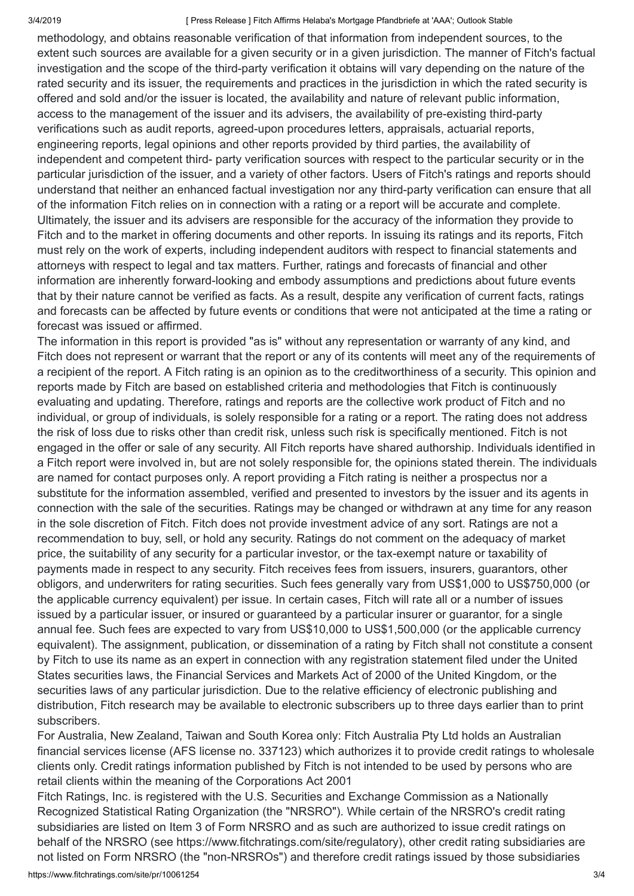#### 3/4/2019 [ Press Release ] Fitch Affirms Helaba's Mortgage Pfandbriefe at 'AAA'; Outlook Stable

methodology, and obtains reasonable verification of that information from independent sources, to the extent such sources are available for a given security or in a given jurisdiction. The manner of Fitch's factual investigation and the scope of the third-party verification it obtains will vary depending on the nature of the rated security and its issuer, the requirements and practices in the jurisdiction in which the rated security is offered and sold and/or the issuer is located, the availability and nature of relevant public information, access to the management of the issuer and its advisers, the availability of pre-existing third-party verifications such as audit reports, agreed-upon procedures letters, appraisals, actuarial reports, engineering reports, legal opinions and other reports provided by third parties, the availability of independent and competent third- party verification sources with respect to the particular security or in the particular jurisdiction of the issuer, and a variety of other factors. Users of Fitch's ratings and reports should understand that neither an enhanced factual investigation nor any third-party verification can ensure that all of the information Fitch relies on in connection with a rating or a report will be accurate and complete. Ultimately, the issuer and its advisers are responsible for the accuracy of the information they provide to Fitch and to the market in offering documents and other reports. In issuing its ratings and its reports, Fitch must rely on the work of experts, including independent auditors with respect to financial statements and attorneys with respect to legal and tax matters. Further, ratings and forecasts of financial and other information are inherently forward-looking and embody assumptions and predictions about future events that by their nature cannot be verified as facts. As a result, despite any verification of current facts, ratings and forecasts can be affected by future events or conditions that were not anticipated at the time a rating or forecast was issued or affirmed.

The information in this report is provided "as is" without any representation or warranty of any kind, and Fitch does not represent or warrant that the report or any of its contents will meet any of the requirements of a recipient of the report. A Fitch rating is an opinion as to the creditworthiness of a security. This opinion and reports made by Fitch are based on established criteria and methodologies that Fitch is continuously evaluating and updating. Therefore, ratings and reports are the collective work product of Fitch and no individual, or group of individuals, is solely responsible for a rating or a report. The rating does not address the risk of loss due to risks other than credit risk, unless such risk is specifically mentioned. Fitch is not engaged in the offer or sale of any security. All Fitch reports have shared authorship. Individuals identified in a Fitch report were involved in, but are not solely responsible for, the opinions stated therein. The individuals are named for contact purposes only. A report providing a Fitch rating is neither a prospectus nor a substitute for the information assembled, verified and presented to investors by the issuer and its agents in connection with the sale of the securities. Ratings may be changed or withdrawn at any time for any reason in the sole discretion of Fitch. Fitch does not provide investment advice of any sort. Ratings are not a recommendation to buy, sell, or hold any security. Ratings do not comment on the adequacy of market price, the suitability of any security for a particular investor, or the tax-exempt nature or taxability of payments made in respect to any security. Fitch receives fees from issuers, insurers, guarantors, other obligors, and underwriters for rating securities. Such fees generally vary from US\$1,000 to US\$750,000 (or the applicable currency equivalent) per issue. In certain cases, Fitch will rate all or a number of issues issued by a particular issuer, or insured or guaranteed by a particular insurer or guarantor, for a single annual fee. Such fees are expected to vary from US\$10,000 to US\$1,500,000 (or the applicable currency equivalent). The assignment, publication, or dissemination of a rating by Fitch shall not constitute a consent by Fitch to use its name as an expert in connection with any registration statement filed under the United States securities laws, the Financial Services and Markets Act of 2000 of the United Kingdom, or the securities laws of any particular jurisdiction. Due to the relative efficiency of electronic publishing and distribution, Fitch research may be available to electronic subscribers up to three days earlier than to print subscribers.

For Australia, New Zealand, Taiwan and South Korea only: Fitch Australia Pty Ltd holds an Australian financial services license (AFS license no. 337123) which authorizes it to provide credit ratings to wholesale clients only. Credit ratings information published by Fitch is not intended to be used by persons who are retail clients within the meaning of the Corporations Act 2001

Fitch Ratings, Inc. is registered with the U.S. Securities and Exchange Commission as a Nationally Recognized Statistical Rating Organization (the "NRSRO"). While certain of the NRSRO's credit rating subsidiaries are listed on Item 3 of Form NRSRO and as such are authorized to issue credit ratings on behalf of the NRSRO (see <https://www.fitchratings.com/site/regulatory>), other credit rating subsidiaries are not listed on Form NRSRO (the "non-NRSROs") and therefore credit ratings issued by those subsidiaries